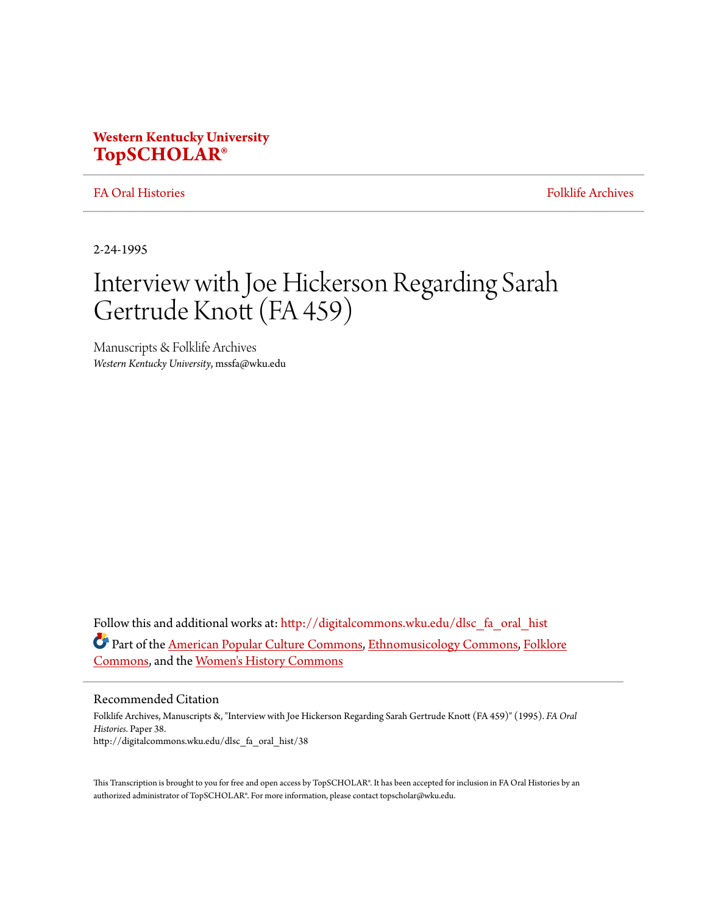# **Western Kentucky University [TopSCHOLAR®](http://digitalcommons.wku.edu?utm_source=digitalcommons.wku.edu%2Fdlsc_fa_oral_hist%2F38&utm_medium=PDF&utm_campaign=PDFCoverPages)**

# [FA Oral Histories](http://digitalcommons.wku.edu/dlsc_fa_oral_hist?utm_source=digitalcommons.wku.edu%2Fdlsc_fa_oral_hist%2F38&utm_medium=PDF&utm_campaign=PDFCoverPages) [Folklife Archives](http://digitalcommons.wku.edu/dlsc_fa?utm_source=digitalcommons.wku.edu%2Fdlsc_fa_oral_hist%2F38&utm_medium=PDF&utm_campaign=PDFCoverPages)

2-24-1995

# Interview with Joe Hickerson Regarding Sarah Gertrude Knott (FA 459)

Manuscripts & Folklife Archives *Western Kentucky University*, mssfa@wku.edu

Follow this and additional works at: [http://digitalcommons.wku.edu/dlsc\\_fa\\_oral\\_hist](http://digitalcommons.wku.edu/dlsc_fa_oral_hist?utm_source=digitalcommons.wku.edu%2Fdlsc_fa_oral_hist%2F38&utm_medium=PDF&utm_campaign=PDFCoverPages) Part of the [American Popular Culture Commons](http://network.bepress.com/hgg/discipline/443?utm_source=digitalcommons.wku.edu%2Fdlsc_fa_oral_hist%2F38&utm_medium=PDF&utm_campaign=PDFCoverPages), [Ethnomusicology Commons,](http://network.bepress.com/hgg/discipline/520?utm_source=digitalcommons.wku.edu%2Fdlsc_fa_oral_hist%2F38&utm_medium=PDF&utm_campaign=PDFCoverPages) [Folklore](http://network.bepress.com/hgg/discipline/321?utm_source=digitalcommons.wku.edu%2Fdlsc_fa_oral_hist%2F38&utm_medium=PDF&utm_campaign=PDFCoverPages) [Commons,](http://network.bepress.com/hgg/discipline/321?utm_source=digitalcommons.wku.edu%2Fdlsc_fa_oral_hist%2F38&utm_medium=PDF&utm_campaign=PDFCoverPages) and the [Women's History Commons](http://network.bepress.com/hgg/discipline/507?utm_source=digitalcommons.wku.edu%2Fdlsc_fa_oral_hist%2F38&utm_medium=PDF&utm_campaign=PDFCoverPages)

#### Recommended Citation

Folklife Archives, Manuscripts &, "Interview with Joe Hickerson Regarding Sarah Gertrude Knott (FA 459)" (1995). *FA Oral Histories.* Paper 38. http://digitalcommons.wku.edu/dlsc\_fa\_oral\_hist/38

This Transcription is brought to you for free and open access by TopSCHOLAR®. It has been accepted for inclusion in FA Oral Histories by an authorized administrator of TopSCHOLAR®. For more information, please contact topscholar@wku.edu.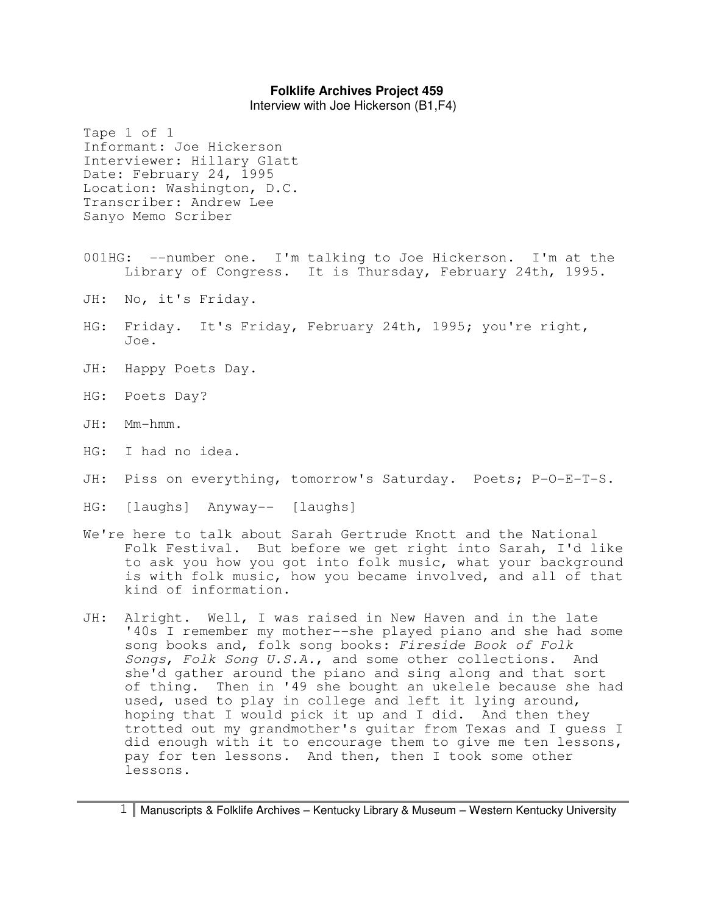Interview with Joe Hickerson (B1,F4)

Informant: Joe Hickerson Interviewer: Hillary Glatt Date: February 24, 1995 Location: Washington, D.C. Transcriber: Andrew Lee Sanyo Memo Scriber 001HG: --number one. I'm talking to Joe Hickerson. I'm at the Library of Congress. It is Thursday, February 24th, 1995. JH: No, it's Friday. HG: Friday. It's Friday, February 24th, 1995; you're right, Joe. JH: Happy Poets Day. HG: Poets Day? JH: Mm-hmm. HG: I had no idea.

- JH: Piss on everything, tomorrow's Saturday. Poets; P-O-E-T-S.
- HG: [laughs] Anyway-- [laughs]

Tape 1 of 1

- We're here to talk about Sarah Gertrude Knott and the National Folk Festival. But before we get right into Sarah, I'd like to ask you how you got into folk music, what your background is with folk music, how you became involved, and all of that kind of information.
- JH: Alright. Well, I was raised in New Haven and in the late '40s I remember my mother--she played piano and she had some song books and, folk song books: Fireside Book of Folk Songs, Folk Song U.S.A., and some other collections. And she'd gather around the piano and sing along and that sort of thing. Then in '49 she bought an ukelele because she had used, used to play in college and left it lying around, hoping that I would pick it up and I did. And then they trotted out my grandmother's guitar from Texas and I guess I did enough with it to encourage them to give me ten lessons, pay for ten lessons. And then, then I took some other lessons.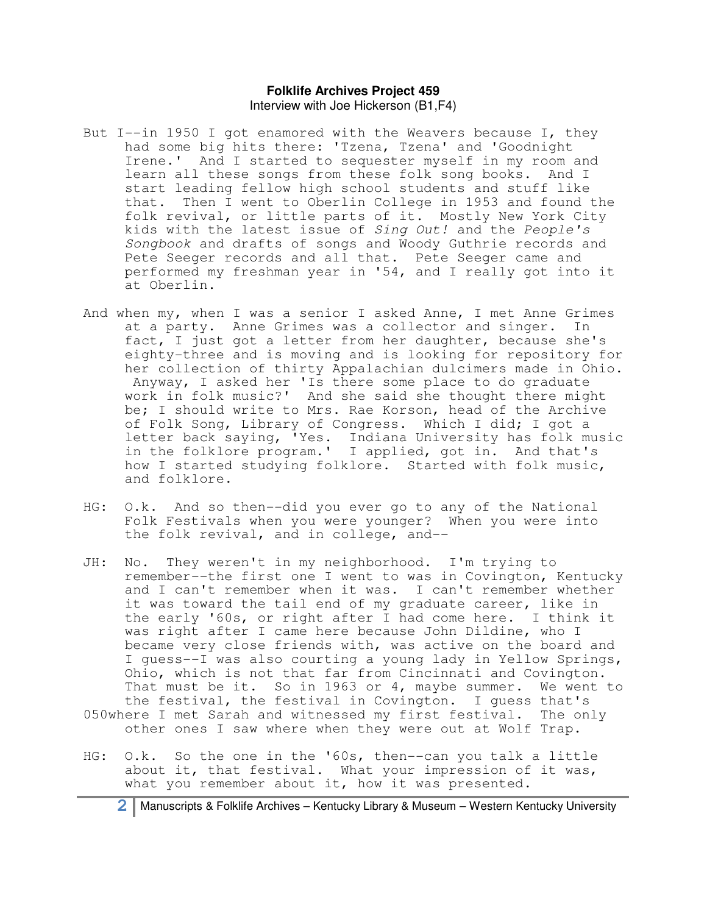- But I--in 1950 I got enamored with the Weavers because I, they had some big hits there: 'Tzena, Tzena' and 'Goodnight Irene.' And I started to sequester myself in my room and learn all these songs from these folk song books. And I start leading fellow high school students and stuff like that. Then I went to Oberlin College in 1953 and found the folk revival, or little parts of it. Mostly New York City kids with the latest issue of Sing Out! and the People's Songbook and drafts of songs and Woody Guthrie records and Pete Seeger records and all that. Pete Seeger came and performed my freshman year in '54, and I really got into it at Oberlin.
- And when my, when I was a senior I asked Anne, I met Anne Grimes at a party. Anne Grimes was a collector and singer. In fact, I just got a letter from her daughter, because she's eighty-three and is moving and is looking for repository for her collection of thirty Appalachian dulcimers made in Ohio. Anyway, I asked her 'Is there some place to do graduate work in folk music?' And she said she thought there might be; I should write to Mrs. Rae Korson, head of the Archive of Folk Song, Library of Congress. Which I did; I got a letter back saying, 'Yes. Indiana University has folk music in the folklore program.' I applied, got in. And that's how I started studying folklore. Started with folk music, and folklore.
- HG: O.k. And so then--did you ever go to any of the National Folk Festivals when you were younger? When you were into the folk revival, and in college, and--
- JH: No. They weren't in my neighborhood. I'm trying to remember--the first one I went to was in Covington, Kentucky and I can't remember when it was. I can't remember whether it was toward the tail end of my graduate career, like in the early '60s, or right after I had come here. I think it was right after I came here because John Dildine, who I became very close friends with, was active on the board and I guess--I was also courting a young lady in Yellow Springs, Ohio, which is not that far from Cincinnati and Covington. That must be it. So in 1963 or 4, maybe summer. We went to the festival, the festival in Covington. I guess that's 050where I met Sarah and witnessed my first festival. The only other ones I saw where when they were out at Wolf Trap.
- HG: O.k. So the one in the '60s, then--can you talk a little about it, that festival. What your impression of it was, what you remember about it, how it was presented.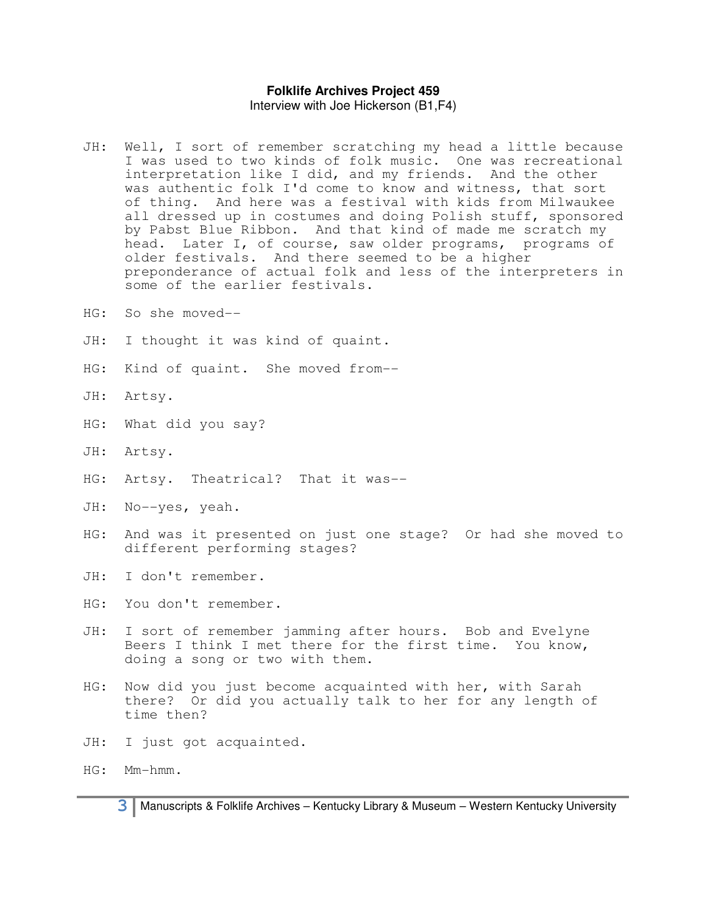- JH: Well, I sort of remember scratching my head a little because I was used to two kinds of folk music. One was recreational interpretation like I did, and my friends. And the other was authentic folk I'd come to know and witness, that sort of thing. And here was a festival with kids from Milwaukee all dressed up in costumes and doing Polish stuff, sponsored by Pabst Blue Ribbon. And that kind of made me scratch my head. Later I, of course, saw older programs, programs of older festivals. And there seemed to be a higher preponderance of actual folk and less of the interpreters in some of the earlier festivals.
- HG: So she moved--
- JH: I thought it was kind of quaint.
- HG: Kind of quaint. She moved from--
- JH: Artsy.
- HG: What did you say?
- JH: Artsy.
- HG: Artsy. Theatrical? That it was--
- JH: No--yes, yeah.
- HG: And was it presented on just one stage? Or had she moved to different performing stages?
- JH: I don't remember.

HG: You don't remember.

- JH: I sort of remember jamming after hours. Bob and Evelyne Beers I think I met there for the first time. You know, doing a song or two with them.
- HG: Now did you just become acquainted with her, with Sarah there? Or did you actually talk to her for any length of time then?
- JH: I just got acquainted.
- HG: Mm-hmm.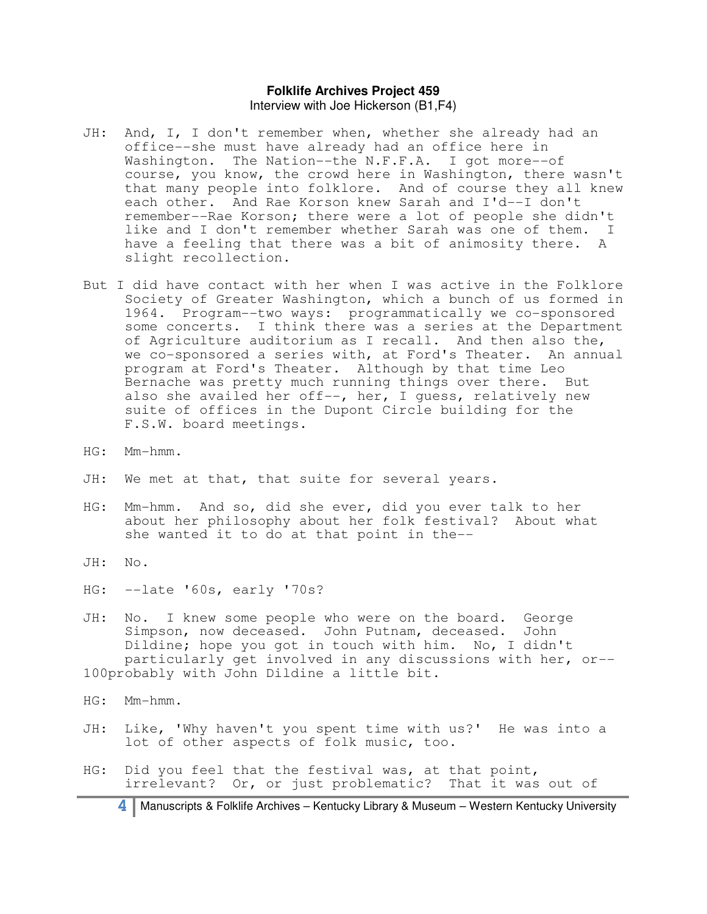- JH: And, I, I don't remember when, whether she already had an office--she must have already had an office here in Washington. The Nation--the N.F.F.A. I got more--of course, you know, the crowd here in Washington, there wasn't that many people into folklore. And of course they all knew each other. And Rae Korson knew Sarah and I'd--I don't remember--Rae Korson; there were a lot of people she didn't like and I don't remember whether Sarah was one of them. I have a feeling that there was a bit of animosity there. A slight recollection.
- But I did have contact with her when I was active in the Folklore Society of Greater Washington, which a bunch of us formed in 1964. Program--two ways: programmatically we co-sponsored some concerts. I think there was a series at the Department of Agriculture auditorium as I recall. And then also the, we co-sponsored a series with, at Ford's Theater. An annual program at Ford's Theater. Although by that time Leo Bernache was pretty much running things over there. But also she availed her off--, her, I guess, relatively new suite of offices in the Dupont Circle building for the F.S.W. board meetings.
- HG: Mm-hmm.
- JH: We met at that, that suite for several years.
- HG: Mm-hmm. And so, did she ever, did you ever talk to her about her philosophy about her folk festival? About what she wanted it to do at that point in the--
- JH: No.
- HG: --late '60s, early '70s?
- JH: No. I knew some people who were on the board. George Simpson, now deceased. John Putnam, deceased. John Dildine; hope you got in touch with him. No, I didn't particularly get involved in any discussions with her, or-- 100probably with John Dildine a little bit.
- HG: Mm-hmm.
- JH: Like, 'Why haven't you spent time with us?' He was into a lot of other aspects of folk music, too.
- HG: Did you feel that the festival was, at that point, irrelevant? Or, or just problematic? That it was out of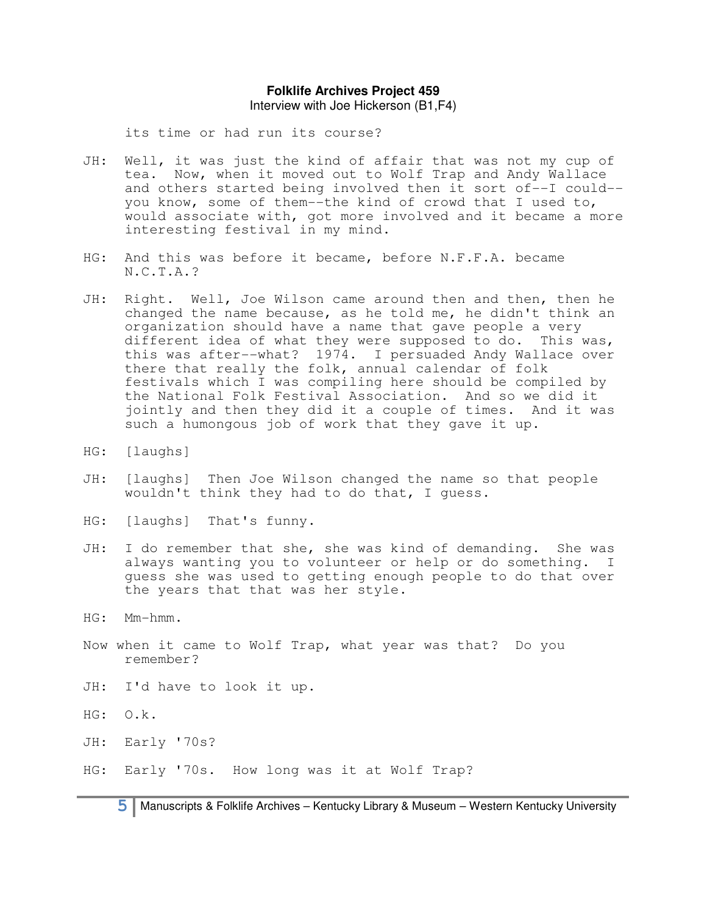Interview with Joe Hickerson (B1,F4)

its time or had run its course?

- JH: Well, it was just the kind of affair that was not my cup of tea. Now, when it moved out to Wolf Trap and Andy Wallace and others started being involved then it sort of--I could- you know, some of them--the kind of crowd that I used to, would associate with, got more involved and it became a more interesting festival in my mind.
- HG: And this was before it became, before N.F.F.A. became N.C.T.A.?
- JH: Right. Well, Joe Wilson came around then and then, then he changed the name because, as he told me, he didn't think an organization should have a name that gave people a very different idea of what they were supposed to do. This was, this was after--what? 1974. I persuaded Andy Wallace over there that really the folk, annual calendar of folk festivals which I was compiling here should be compiled by the National Folk Festival Association. And so we did it jointly and then they did it a couple of times. And it was such a humongous job of work that they gave it up.
- HG: [laughs]
- JH: [laughs] Then Joe Wilson changed the name so that people wouldn't think they had to do that, I guess.
- HG: [laughs] That's funny.
- JH: I do remember that she, she was kind of demanding. She was always wanting you to volunteer or help or do something. I guess she was used to getting enough people to do that over the years that that was her style.
- HG: Mm-hmm.
- Now when it came to Wolf Trap, what year was that? Do you remember?
- JH: I'd have to look it up.
- HG: O.k.
- JH: Early '70s?
- HG: Early '70s. How long was it at Wolf Trap?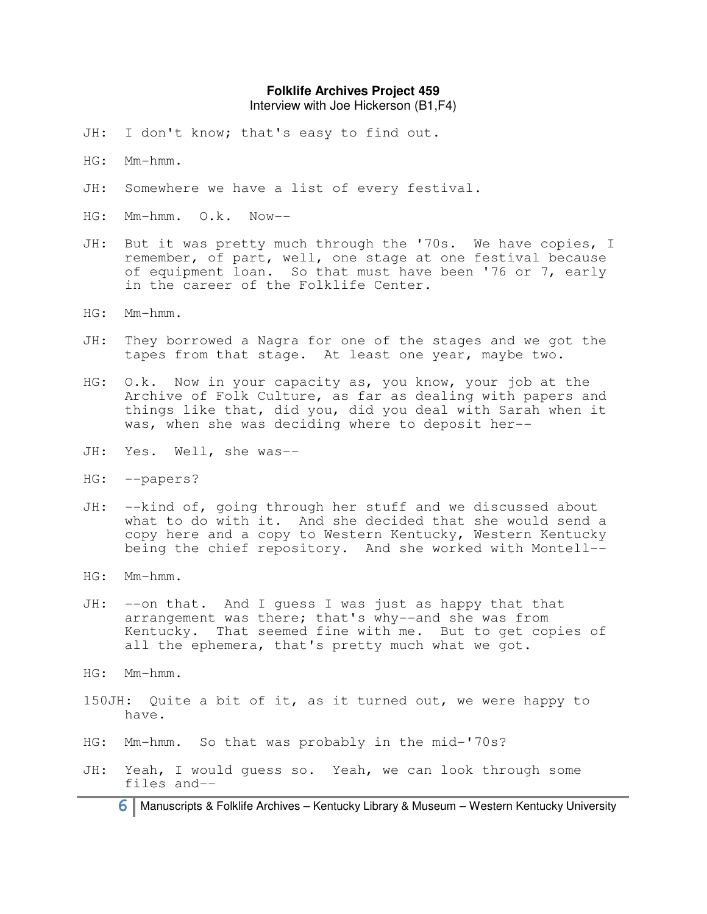Interview with Joe Hickerson (B1,F4)

- JH: I don't know; that's easy to find out.
- HG: Mm-hmm.
- JH: Somewhere we have a list of every festival.
- HG: Mm-hmm. O.k. Now--
- JH: But it was pretty much through the '70s. We have copies, I remember, of part, well, one stage at one festival because of equipment loan. So that must have been '76 or 7, early in the career of the Folklife Center.
- HG: Mm-hmm.
- JH: They borrowed a Nagra for one of the stages and we got the tapes from that stage. At least one year, maybe two.
- HG: O.k. Now in your capacity as, you know, your job at the Archive of Folk Culture, as far as dealing with papers and things like that, did you, did you deal with Sarah when it was, when she was deciding where to deposit her--
- JH: Yes. Well, she was--
- HG: --papers?
- JH: --kind of, going through her stuff and we discussed about what to do with it. And she decided that she would send a copy here and a copy to Western Kentucky, Western Kentucky being the chief repository. And she worked with Montell--
- HG: Mm-hmm.
- JH: --on that. And I guess I was just as happy that that arrangement was there; that's why--and she was from Kentucky. That seemed fine with me. But to get copies of all the ephemera, that's pretty much what we got.
- HG: Mm-hmm.
- 150JH: Quite a bit of it, as it turned out, we were happy to have.
- HG: Mm-hmm. So that was probably in the mid-'70s?
- JH: Yeah, I would guess so. Yeah, we can look through some files and--

**6** Manuscripts & Folklife Archives – Kentucky Library & Museum – Western Kentucky University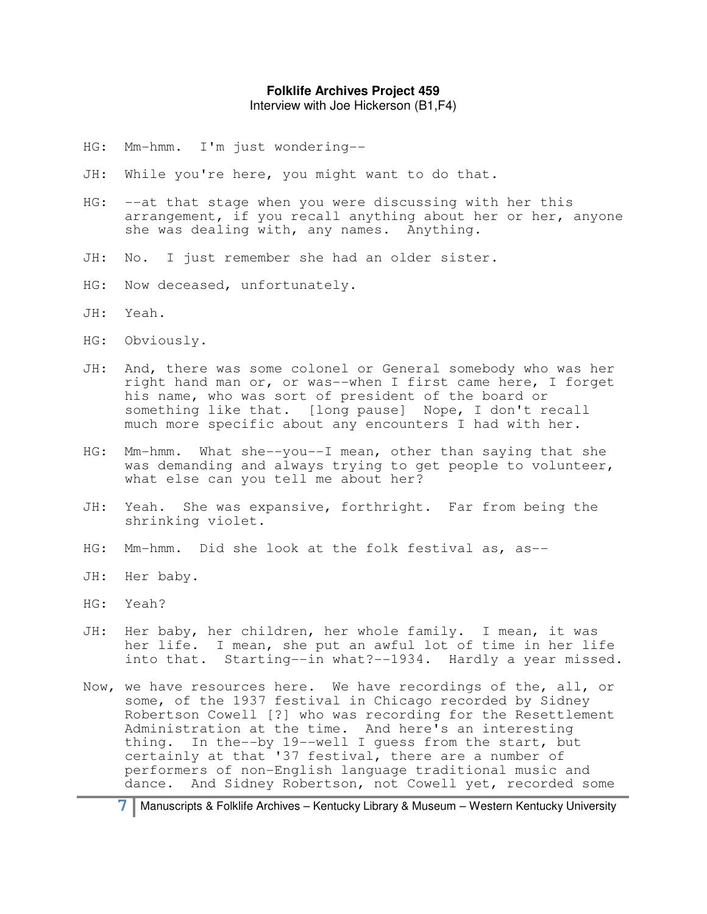Interview with Joe Hickerson (B1,F4)

- HG: Mm-hmm. I'm just wondering--
- JH: While you're here, you might want to do that.
- HG: --at that stage when you were discussing with her this arrangement, if you recall anything about her or her, anyone she was dealing with, any names. Anything.
- JH: No. I just remember she had an older sister.
- HG: Now deceased, unfortunately.
- JH: Yeah.
- HG: Obviously.
- JH: And, there was some colonel or General somebody who was her right hand man or, or was--when I first came here, I forget his name, who was sort of president of the board or something like that. [long pause] Nope, I don't recall much more specific about any encounters I had with her.
- HG: Mm-hmm. What she--you--I mean, other than saying that she was demanding and always trying to get people to volunteer, what else can you tell me about her?
- JH: Yeah. She was expansive, forthright. Far from being the shrinking violet.
- HG: Mm-hmm. Did she look at the folk festival as, as--
- JH: Her baby.
- HG: Yeah?
- JH: Her baby, her children, her whole family. I mean, it was her life. I mean, she put an awful lot of time in her life into that. Starting--in what?--1934. Hardly a year missed.
- Now, we have resources here. We have recordings of the, all, or some, of the 1937 festival in Chicago recorded by Sidney Robertson Cowell [?] who was recording for the Resettlement Administration at the time. And here's an interesting thing. In the--by 19--well I guess from the start, but certainly at that '37 festival, there are a number of performers of non-English language traditional music and dance. And Sidney Robertson, not Cowell yet, recorded some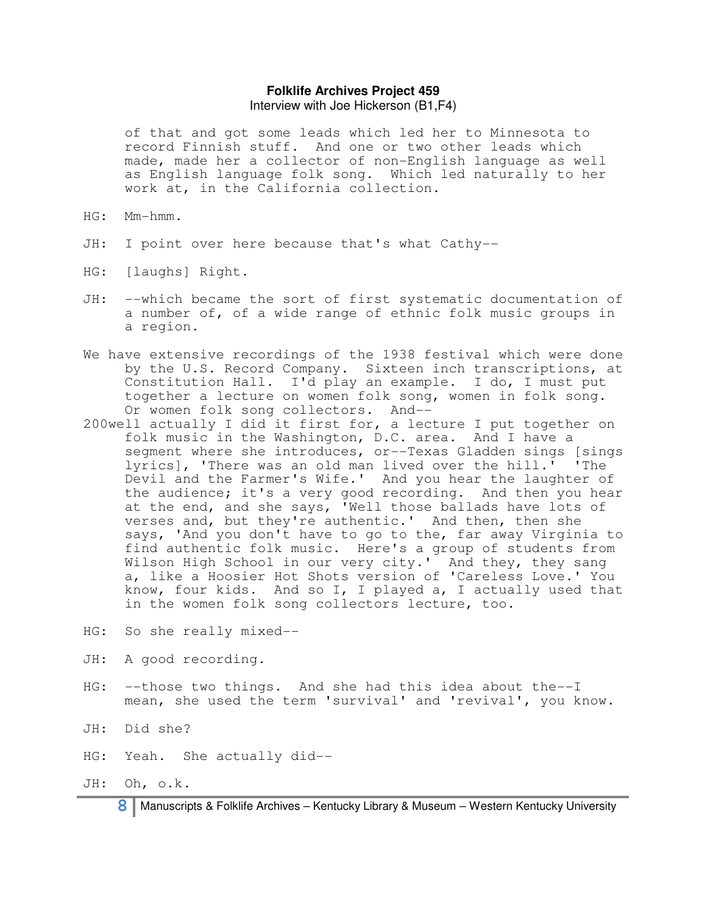of that and got some leads which led her to Minnesota to record Finnish stuff. And one or two other leads which made, made her a collector of non-English language as well as English language folk song. Which led naturally to her work at, in the California collection.

- HG: Mm-hmm.
- JH: I point over here because that's what Cathy--
- HG: [laughs] Right.
- JH: --which became the sort of first systematic documentation of a number of, of a wide range of ethnic folk music groups in a region.
- We have extensive recordings of the 1938 festival which were done by the U.S. Record Company. Sixteen inch transcriptions, at Constitution Hall. I'd play an example. I do, I must put together a lecture on women folk song, women in folk song. Or women folk song collectors. And--
- 200well actually I did it first for, a lecture I put together on folk music in the Washington, D.C. area. And I have a segment where she introduces, or--Texas Gladden sings [sings lyrics], 'There was an old man lived over the hill.' 'The Devil and the Farmer's Wife.' And you hear the laughter of the audience; it's a very good recording. And then you hear at the end, and she says, 'Well those ballads have lots of verses and, but they're authentic.' And then, then she says, 'And you don't have to go to the, far away Virginia to find authentic folk music. Here's a group of students from Wilson High School in our very city.' And they, they sang a, like a Hoosier Hot Shots version of 'Careless Love.' You know, four kids. And so I, I played a, I actually used that in the women folk song collectors lecture, too.
- HG: So she really mixed--
- JH: A good recording.
- HG: --those two things. And she had this idea about the--I mean, she used the term 'survival' and 'revival', you know.
- JH: Did she?
- HG: Yeah. She actually did--
- JH: Oh, o.k.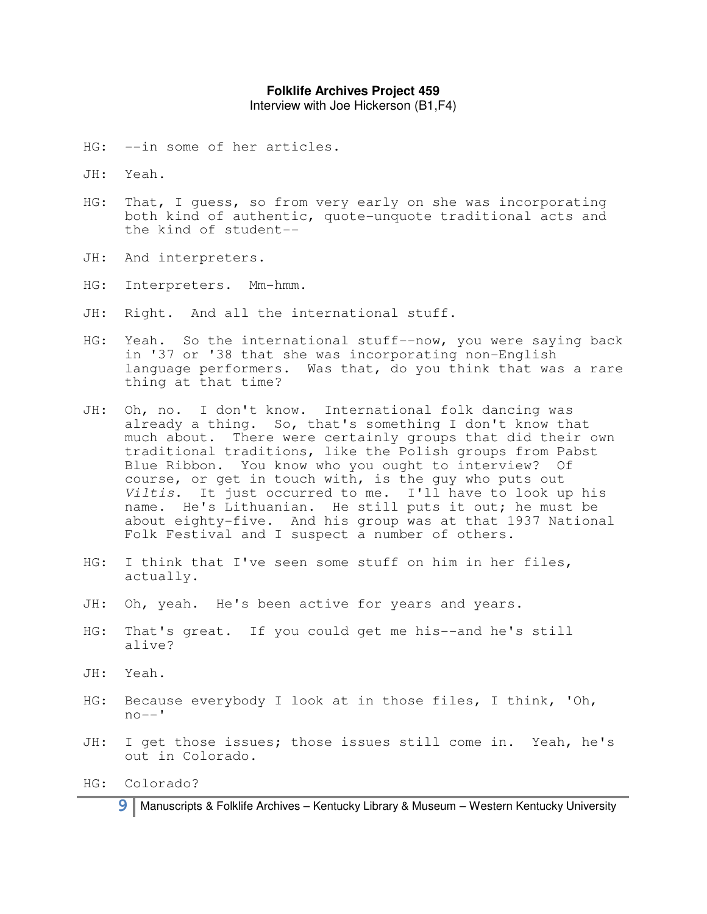Interview with Joe Hickerson (B1,F4)

- HG: --in some of her articles.
- JH: Yeah.
- HG: That, I guess, so from very early on she was incorporating both kind of authentic, quote-unquote traditional acts and the kind of student--
- JH: And interpreters.
- HG: Interpreters. Mm-hmm.
- JH: Right. And all the international stuff.
- HG: Yeah. So the international stuff--now, you were saying back in '37 or '38 that she was incorporating non-English language performers. Was that, do you think that was a rare thing at that time?
- JH: Oh, no. I don't know. International folk dancing was already a thing. So, that's something I don't know that much about. There were certainly groups that did their own traditional traditions, like the Polish groups from Pabst Blue Ribbon. You know who you ought to interview? Of course, or get in touch with, is the guy who puts out Viltis. It just occurred to me. I'll have to look up his name. He's Lithuanian. He still puts it out; he must be about eighty-five. And his group was at that 1937 National Folk Festival and I suspect a number of others.
- HG: I think that I've seen some stuff on him in her files, actually.
- JH: Oh, yeah. He's been active for years and years.
- HG: That's great. If you could get me his--and he's still alive?
- JH: Yeah.
- HG: Because everybody I look at in those files, I think, 'Oh,  $no--$ '
- JH: I get those issues; those issues still come in. Yeah, he's out in Colorado.

HG: Colorado?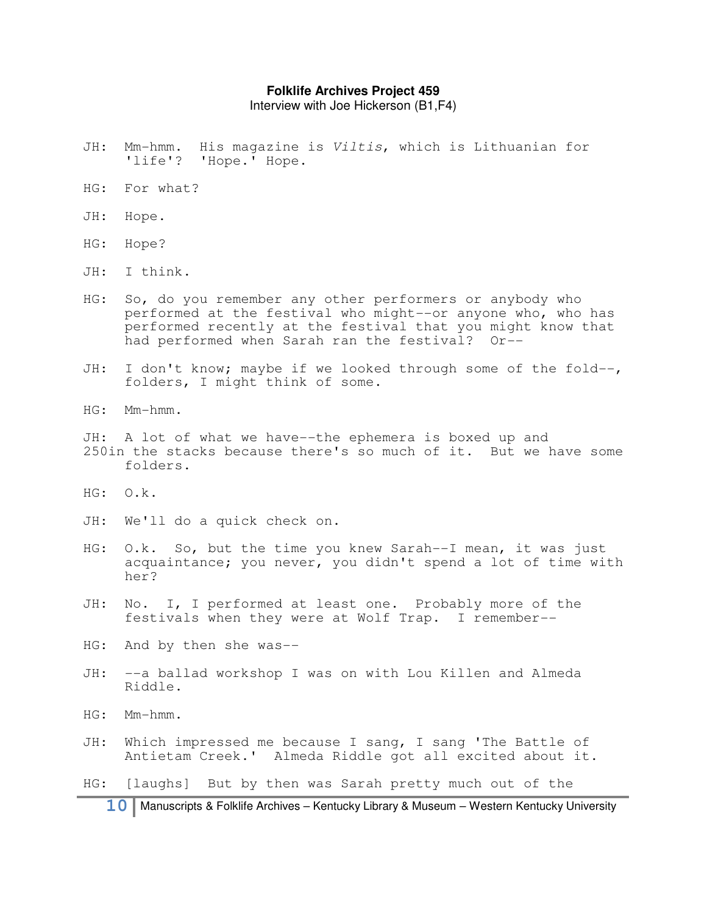Interview with Joe Hickerson (B1,F4)

- JH: Mm-hmm. His magazine is Viltis, which is Lithuanian for 'life'? 'Hope.' Hope.
- HG: For what?
- JH: Hope.
- HG: Hope?
- JH: I think.
- HG: So, do you remember any other performers or anybody who performed at the festival who might--or anyone who, who has performed recently at the festival that you might know that had performed when Sarah ran the festival? Or--
- JH: I don't know; maybe if we looked through some of the fold--, folders, I might think of some.
- HG: Mm-hmm.
- JH: A lot of what we have--the ephemera is boxed up and 250in the stacks because there's so much of it. But we have some folders.
- HG: O.k.
- JH: We'll do a quick check on.
- HG: O.k. So, but the time you knew Sarah--I mean, it was just acquaintance; you never, you didn't spend a lot of time with her?
- JH: No. I, I performed at least one. Probably more of the festivals when they were at Wolf Trap. I remember--
- HG: And by then she was--
- JH: --a ballad workshop I was on with Lou Killen and Almeda Riddle.
- HG: Mm-hmm.
- JH: Which impressed me because I sang, I sang 'The Battle of Antietam Creek.' Almeda Riddle got all excited about it.
- HG: [laughs] But by then was Sarah pretty much out of the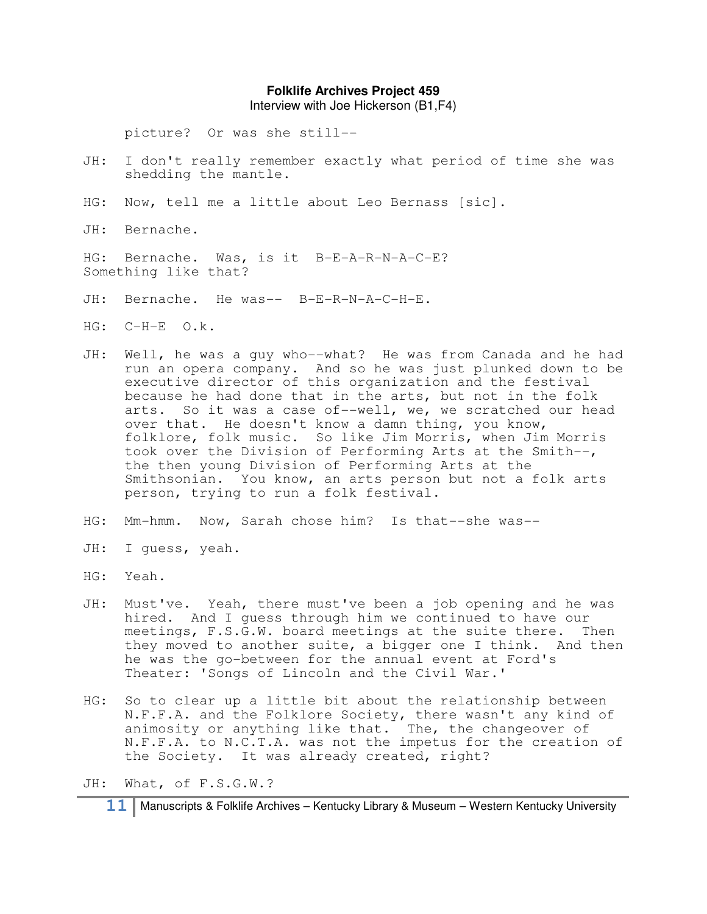Interview with Joe Hickerson (B1,F4)

picture? Or was she still--

- JH: I don't really remember exactly what period of time she was shedding the mantle.
- HG: Now, tell me a little about Leo Bernass [sic].

JH: Bernache.

HG: Bernache. Was, is it B-E-A-R-N-A-C-E? Something like that?

- JH: Bernache. He was-- B-E-R-N-A-C-H-E.
- HG: C-H-E O.k.
- JH: Well, he was a guy who--what? He was from Canada and he had run an opera company. And so he was just plunked down to be executive director of this organization and the festival because he had done that in the arts, but not in the folk arts. So it was a case of--well, we, we scratched our head over that. He doesn't know a damn thing, you know, folklore, folk music. So like Jim Morris, when Jim Morris took over the Division of Performing Arts at the Smith--, the then young Division of Performing Arts at the Smithsonian. You know, an arts person but not a folk arts person, trying to run a folk festival.
- HG: Mm-hmm. Now, Sarah chose him? Is that--she was--
- JH: I guess, yeah.
- HG: Yeah.
- JH: Must've. Yeah, there must've been a job opening and he was hired. And I guess through him we continued to have our meetings, F.S.G.W. board meetings at the suite there. Then they moved to another suite, a bigger one I think. And then he was the go-between for the annual event at Ford's Theater: 'Songs of Lincoln and the Civil War.'
- HG: So to clear up a little bit about the relationship between N.F.F.A. and the Folklore Society, there wasn't any kind of animosity or anything like that. The, the changeover of N.F.F.A. to N.C.T.A. was not the impetus for the creation of the Society. It was already created, right?

JH: What, of F.S.G.W.?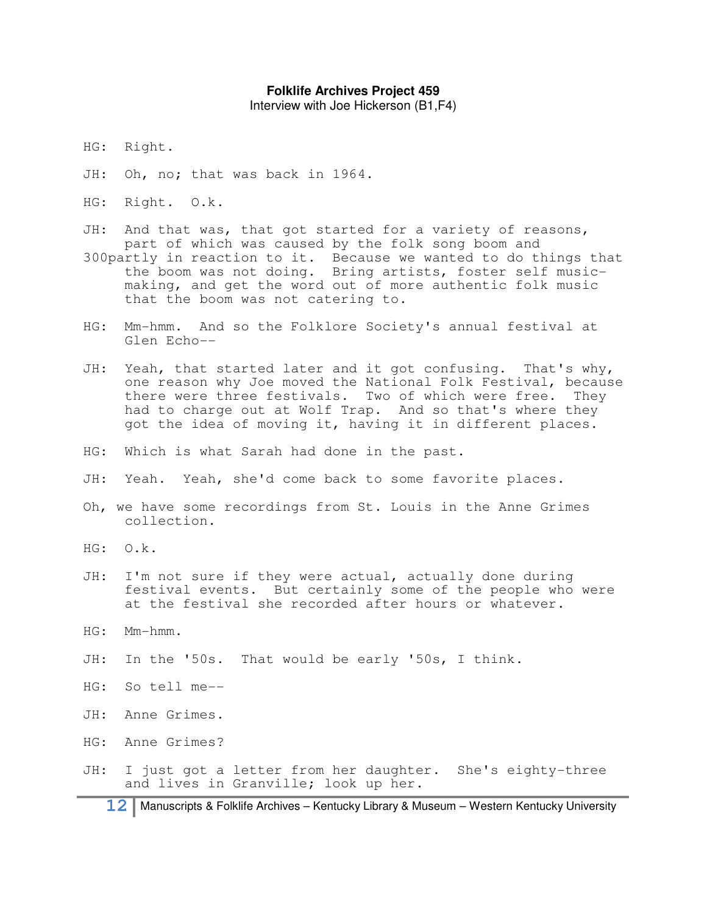Interview with Joe Hickerson (B1,F4)

- HG: Right.
- JH: Oh, no; that was back in 1964.
- HG: Right. O.k.
- JH: And that was, that got started for a variety of reasons, part of which was caused by the folk song boom and
- 300partly in reaction to it. Because we wanted to do things that the boom was not doing. Bring artists, foster self musicmaking, and get the word out of more authentic folk music that the boom was not catering to.
- HG: Mm-hmm. And so the Folklore Society's annual festival at Glen Echo--
- JH: Yeah, that started later and it got confusing. That's why, one reason why Joe moved the National Folk Festival, because there were three festivals. Two of which were free. They had to charge out at Wolf Trap. And so that's where they got the idea of moving it, having it in different places.
- HG: Which is what Sarah had done in the past.
- JH: Yeah. Yeah, she'd come back to some favorite places.
- Oh, we have some recordings from St. Louis in the Anne Grimes collection.
- HG: O.k.
- JH: I'm not sure if they were actual, actually done during festival events. But certainly some of the people who were at the festival she recorded after hours or whatever.
- HG: Mm-hmm.
- JH: In the '50s. That would be early '50s, I think.
- HG: So tell me--
- JH: Anne Grimes.
- HG: Anne Grimes?
- JH: I just got a letter from her daughter. She's eighty-three and lives in Granville; look up her.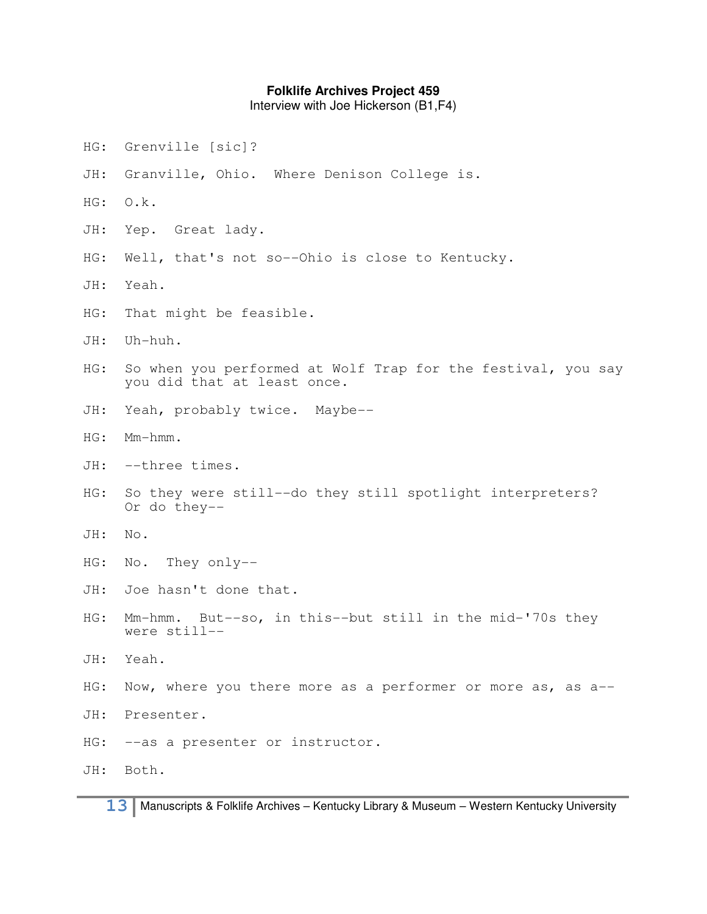Interview with Joe Hickerson (B1,F4)

- HG: Grenville [sic]?
- JH: Granville, Ohio. Where Denison College is.
- HG: O.k.
- JH: Yep. Great lady.
- HG: Well, that's not so--Ohio is close to Kentucky.
- JH: Yeah.
- HG: That might be feasible.
- JH: Uh-huh.
- HG: So when you performed at Wolf Trap for the festival, you say you did that at least once.
- JH: Yeah, probably twice. Maybe--
- HG: Mm-hmm.
- JH: --three times.
- HG: So they were still--do they still spotlight interpreters? Or do they--
- JH: No.
- HG: No. They only--
- JH: Joe hasn't done that.
- HG: Mm-hmm. But--so, in this--but still in the mid-'70s they were still--
- JH: Yeah.
- HG: Now, where you there more as a performer or more as, as a--
- JH: Presenter.
- HG: --as a presenter or instructor.

JH: Both.